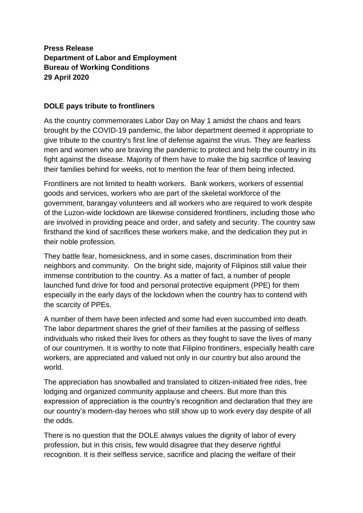## **Press Release Department of Labor and Employment Bureau of Working Conditions 29 April 2020**

## **DOLE pays tribute to frontliners**

As the country commemorates Labor Day on May 1 amidst the chaos and fears brought by the COVID-19 pandemic, the labor department deemed it appropriate to give tribute to the country's first line of defense against the virus. They are fearless men and women who are braving the pandemic to protect and help the country in its fight against the disease. Majority of them have to make the big sacrifice of leaving their families behind for weeks, not to mention the fear of them being infected.

Frontliners are not limited to health workers. Bank workers, workers of essential goods and services, workers who are part of the skeletal workforce of the government, barangay volunteers and all workers who are required to work despite of the Luzon-wide lockdown are likewise considered frontliners, including those who are involved in providing peace and order, and safety and security. The country saw firsthand the kind of sacrifices these workers make, and the dedication they put in their noble profession.

They battle fear, homesickness, and in some cases, discrimination from their neighbors and community. On the bright side, majority of Filipinos still value their immense contribution to the country. As a matter of fact, a number of people launched fund drive for food and personal protective equipment (PPE) for them especially in the early days of the lockdown when the country has to contend with the scarcity of PPEs.

A number of them have been infected and some had even succumbed into death. The labor department shares the grief of their families at the passing of selfless individuals who risked their lives for others as they fought to save the lives of many of our countrymen. It is worthy to note that Filipino frontliners, especially health care workers, are appreciated and valued not only in our country but also around the world.

The appreciation has snowballed and translated to citizen-initiated free rides, free lodging and organized community applause and cheers. But more than this expression of appreciation is the country's recognition and declaration that they are our country's modern-day heroes who still show up to work every day despite of all the odds.

There is no question that the DOLE always values the dignity of labor of every profession, but in this crisis, few would disagree that they deserve rightful recognition. It is their selfless service, sacrifice and placing the welfare of their